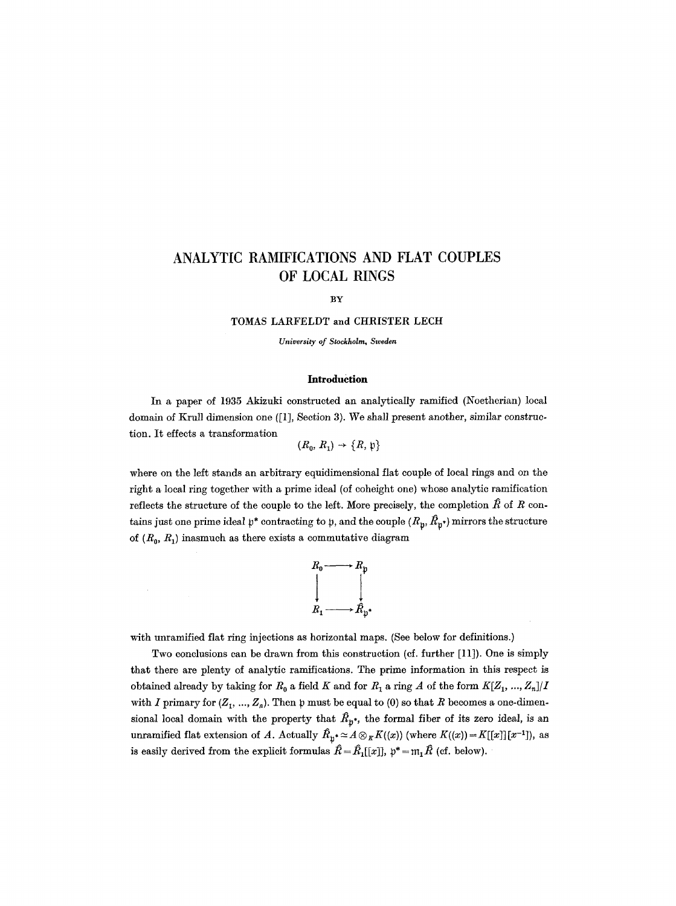# **ANALYTIC RAMIFICATIONS AND FLAT COUPLES OF LOCAL RINGS**

#### BY

TOMAS LARFELDT and CHRISTER LECH

*University of Stockholm, Sweden* 

#### **Introduction**

In a paper of 1935 Akizuki constructed an analytically ramified (Noetherian) local domain of Krull dimension one ([1], Section 3). We shall present another, similar construction. It effects a transformation

$$
(R_0, R_1) \rightarrow \{R, \mathfrak{p}\}
$$

where on the left stands an arbitrary equidimensional flat couple of local rings and on the right a local ring together with a prime ideal (of coheight one) whose analytic ramification reflects the structure of the couple to the left. More precisely, the completion  $\hat{R}$  of R contains just one prime ideal  $p^*$  contracting to p, and the couple  $(R_p, \hat{R}_p)$  mirrors the structure of  $(R_0, R_1)$  inasmuch as there exists a commutative diagram



with unramified flat ring injections as horizontal maps. (See below for definitions.)

Two conclusions can be drawn from this construction (cf. further [11]). One is simply that there are plenty of analytic ramifications. The prime information in this respect is obtained already by taking for  $R_0$  a field K and for  $R_1$  a ring A of the form  $K[Z_1, ..., Z_n]/I$ with I primary for  $(Z_1, ..., Z_n)$ . Then p must be equal to (0) so that R becomes a one-dimensional local domain with the property that  $\hat{R}_{p^*}$ , the formal fiber of its zero ideal, is an unramified flat extension of A. Actually  $\hat{R}_{\mathfrak{p}} \sim A \otimes_K K(\langle x \rangle)$  (where  $K(\langle x \rangle) = K[[x]][x^{-1}]$ ), as is easily derived from the explicit formulas  $\hat{R}=\hat{R}_1[[x]],~\mathfrak{p}^*=\mathfrak{m}_1~\hat{R}$  (cf. below).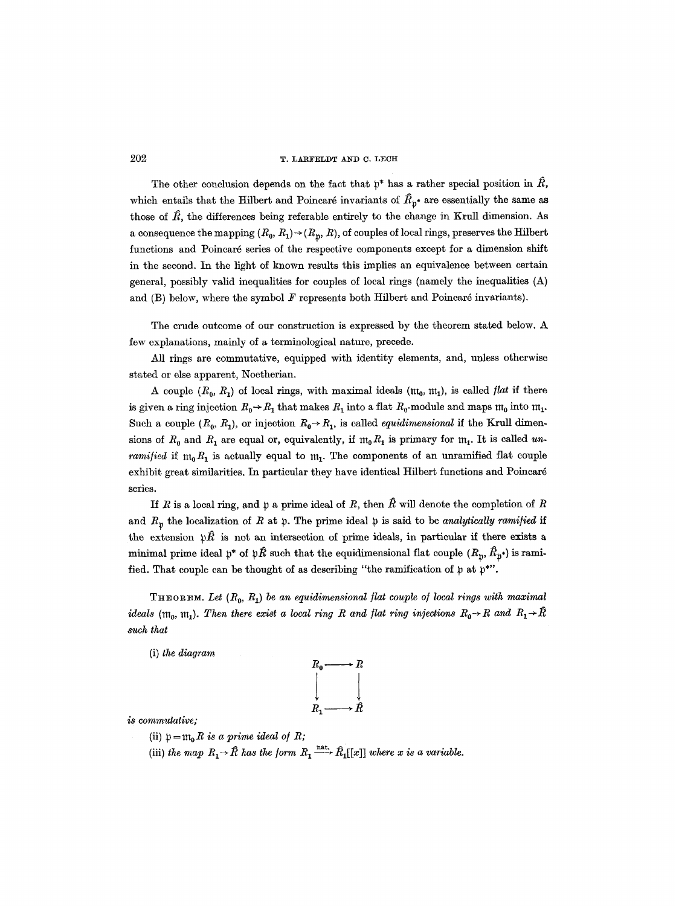# 202 T. LARFELDT AND C. LECH

The other conclusion depends on the fact that  $\mathfrak{p}^*$  has a rather special position in  $R,$ which entails that the Hilbert and Poincaré invariants of  $\hat{R}_{p^*}$  are essentially the same as those of  $\hat{R}$ , the differences being referable entirely to the change in Krull dimension. As a consequence the mapping  $(R_0, R_1) \rightarrow (R_p, R)$ , of couples of local rings, preserves the Hilbert functions and Poincar6 series of the respective components except for a dimension shift in the second. In the light of known results this implies an equivalence between certain general, possibly valid inequalities for couples of local rings (namely the inequalities (A) and  $(B)$  below, where the symbol  $F$  represents both Hilbert and Poincaré invariants).

The crude outcome of our construction is expressed by the theorem stated below. A few explanations, mainly of a terminological nature, precede.

All rings are commutative, equipped with identity elements, and, unless otherwise stated or else apparent, Noetherian.

A couple  $(R_0, R_1)$  of local rings, with maximal ideals  $(\mathfrak{m}_0, \mathfrak{m}_1)$ , is called *flat* if there is given a ring injection  $R_0 \rightarrow R_1$  that makes  $R_1$  into a flat  $R_0$ -module and maps  $m_0$  into  $m_1$ . Such a couple  $(R_0,~R_1)$ , or injection  $R_0 \rightarrow R_1$ , is called *equidimensional* if the Krull dimensions of  $R_0$  and  $R_1$  are equal or, equivalently, if  $m_0 R_1$  is primary for  $m_1$ . It is called *unramified* if  $m_0R_1$  is actually equal to  $m_1$ . The components of an unramified flat couple exhibit great similarities. In particular they have identical Hilbert functions and Poincaré series.

If R is a local ring, and p a prime ideal of R, then  $\hat{R}$  will denote the completion of R and  $R_p$  the localization of R at p. The prime ideal p is said to be *analytically ramified* if the extension  $~\mathfrak{p}\hat{R}$  is not an intersection of prime ideals, in particular if there exists a minimal prime ideal  $p^*$  of  $p\hat{R}$  such that the equidimensional flat couple  $(R_p, \hat{R}_{p^*})$  is ramified. That couple can be thought of as describing "the ramification of  $\mathfrak p$  at  $\mathfrak p^*$ ".

THEOREM. Let  $(R_0, R_1)$  be an equidimensional flat couple of local rings with maximal *ideals* ( $m_0$ ,  $m_1$ ). Then there exist a local ring R and flat ring injections  $R_0 \rightarrow R$  and  $R_1 \rightarrow \hat{R}$ *such that* 

(i) *the diagram* 



*is commutative;* 

- (ii)  $p = m_0 R$  *is a prime ideal of R;*
- (iii) *the map*  $R_1 \rightarrow \hat{R}$  *has the form*  $R_1 \xrightarrow{\text{nat.}} \hat{R}_1[[x]]$  where x is a variable.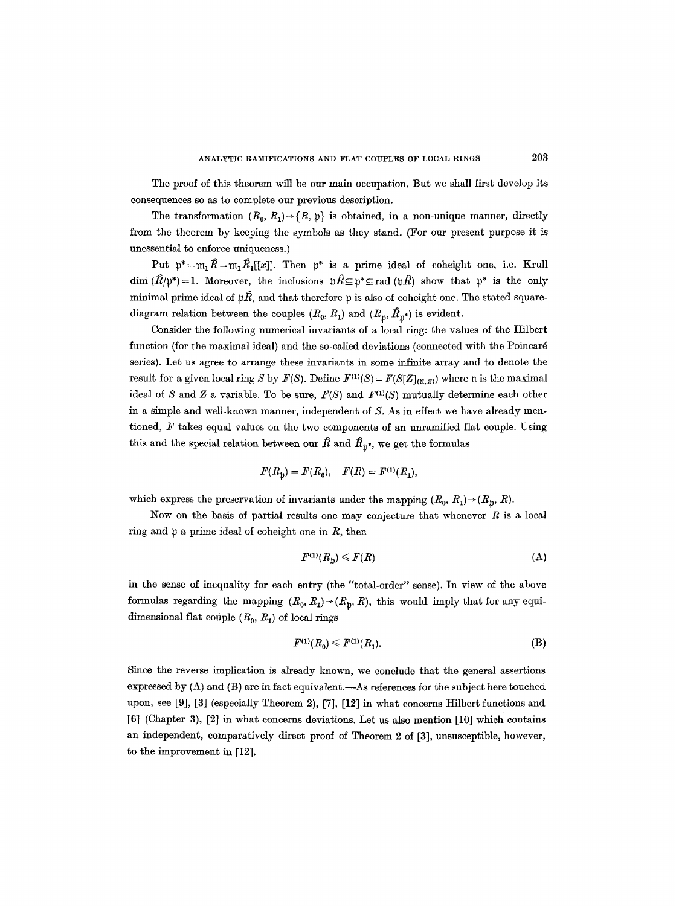The proof of this theorem will be our main occupation. But we shall first develop its consequences so as to complete our previous description.

The transformation  $(R_0,R_1)\rightarrow\{R,\,\mathfrak{p}\}\,$  is obtained, in a non-unique manner, directly from the theorem by keeping the symbols as they stand. (For our present purpose it is unessential to enforce uniqueness.)

Put  $\mathfrak{p}^*=\mathfrak{m}_1~\hat{R}=\mathfrak{m}_1~\hat{R}_1[[x]]$ . Then  $\mathfrak{p}^*$  is a prime ideal of coheight one, i.e. Krull  $\dim (\hat{R}/p^*)=1$ . Moreover, the inclusions  $p\hat{R}\subseteq p^*\subseteq \text{rad}(p\hat{R})$  show that  $p^*$  is the only minimal prime ideal of  $p\hat{k}$ , and that therefore p is also of coheight one. The stated squarediagram relation between the couples  $(R_0, R_1)$  and  $(R_{\mathfrak{y}}, \hat{R}_{\mathfrak{y}^*})$  is evident.

Consider the following numerical invariants of a local ring: the values of the Hilbert function (for the maximal ideal) and the so-called deviations (connected with the Poincar6 series). Let us agree to arrange these invariants in some infinite array and to denote the result for a given local ring S by  $F(S)$ . Define  $F^{(1)}(S) = F(S[Z]_{(T,Z)})$  where  $\pi$  is the maximal ideal of S and Z a variable. To be sure,  $F(S)$  and  $F^{(1)}(S)$  mutually determine each other in a simple and well-known manner, independent of S. As in effect we have already mentioned,  $F$  takes equal values on the two components of an unramified flat couple. Using this and the special relation between our  $\hat{R}$  and  $\hat{R}_{p^*}$ , we get the formulas

$$
F(R_{\rm h}) = F(R_{\rm 0}), \quad F(R) = F^{(1)}(R_{\rm 1}),
$$

which express the preservation of invariants under the mapping  $(R_0, R_1) \rightarrow (R_0, R)$ .

Now on the basis of partial results one may conjecture that whenever  $R$  is a local ring and  $\natural$  a prime ideal of coheight one in R, then

$$
F^{(1)}(R_{\mathfrak{p}}) \leqslant F(R) \tag{A}
$$

in the sense of inequality for each entry (the "total-order" sense). In view of the above formulas regarding the mapping  $(R_0, R_1) \rightarrow (R_p, R)$ , this would imply that for any equidimensional flat couple  $(R_0, R_1)$  of local rings

$$
F^{(1)}(R_0) \le F^{(1)}(R_1). \tag{B}
$$

Since the reverse implication is already known, we conclude that the general assertions expressed by  $(A)$  and  $(B)$  are in fact equivalent.—As references for the subject here touched upon, see [9], [3] (especially Theorem 2), [7], [12] in what concerns Hflbert functions and [6] (Chapter 3), [2] in what concerns deviations. Let us also mention [10] which contains an independent, comparatively direct proof of Theorem 2 of [3], unsusceptible, however, to the improvement in [12].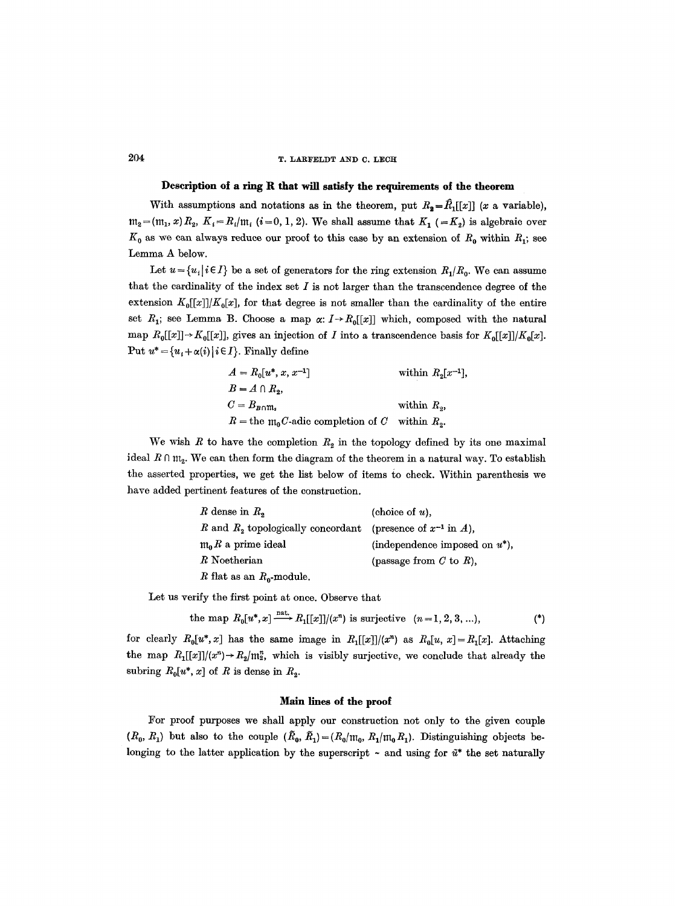# 204 T. LARFELDT AND C. LECH

### **Description of a ring R that will satisfy the requirements of the theorem**

With assumptions and notations as in the theorem, put  $R_2 = \hat{R}_1[[x]]$  (x a variable),  $m_2=(m_1, x)R_2$ ,  $K_i=R_i/m_i$  (i=0, 1, 2). We shall assume that  $K_1$  (=K<sub>2</sub>) is algebraic over  $K_0$  as we can always reduce our proof to this case by an extension of  $R_0$  within  $R_1$ ; see Lemma A below.

Let  $u = \{u_i | i \in I\}$  be a set of generators for the ring extension  $R_1/R_0$ . We can assume that the cardinality of the index set  $I$  is not larger than the transcendence degree of the extension  $K_0[[x]]/K_0[x]$ , for that degree is not smaller than the cardinality of the entire set  $R_1$ ; see Lemma B. Choose a map  $\alpha: I \rightarrow R_0[[x]]$  which, composed with the natural map  $R_0[[x]] \rightarrow K_0[[x]]$ , gives an injection of *I* into a transcendence basis for  $K_0[[x]]/K_0[x]$ . Put  $u^* = {u_i + \alpha(i) | i \in I}$ . Finally define

| $A = R_0[u^*, x, x^{-1}]$                                         | within $R_2[x^{-1}]$ , |
|-------------------------------------------------------------------|------------------------|
| $B = A \cap R_2$                                                  |                        |
| $C=B_{B\cap\mathfrak{m}_s}$                                       | within $R_{\alpha}$ ,  |
| $R =$ the $\mathfrak{m}_0 C$ -adic completion of C within $R_2$ . |                        |

We wish R to have the completion  $R_2$  in the topology defined by its one maximal ideal  $R \cap m_2$ . We can then form the diagram of the theorem in a natural way. To establish the asserted properties, we get the list below of items to check. Within parenthesis we have added pertinent features of the construction.

| R dense in $R_2$                                                  | (choice of $u$ ).                 |
|-------------------------------------------------------------------|-----------------------------------|
| R and $R_2$ topologically concordant (presence of $x^{-1}$ in A), |                                   |
| $m_0 R$ a prime ideal                                             | (independence imposed on $u^*$ ), |
| R Noetherian                                                      | (passage from $C$ to $R$ ),       |
| R flat as an $R_0$ -module.                                       |                                   |

Let us verify the first point at once. Observe that

the map 
$$
R_0[u^*,x] \longrightarrow R_1[[x]]/(x^n)
$$
 is surjective  $(n=1,2,3,...),$  (\*)

for clearly  $R_0[u^*,x]$  has the same image in  $R_1[[x]]/(x^n)$  as  $R_0[u, x] = R_1[x]$ . Attaching the map  $R_1[[x]]/(x^n) \to R_2/m_2^n$ , which is visibly surjective, we conclude that already the subring  $R_0[u^*, x]$  of R is dense in  $R_2$ .

## **Main lines of the proof**

For proof purposes we shall apply our construction not only to the given couple  $(R_0, R_1)$  but also to the couple  $(\tilde{R}_0, \tilde{R}_1) = (R_0/m_0, R_1/m_0 R_1)$ . Distinguishing objects belonging to the latter application by the superscript  $\sim$  and using for  $\tilde{u}^*$  the set naturally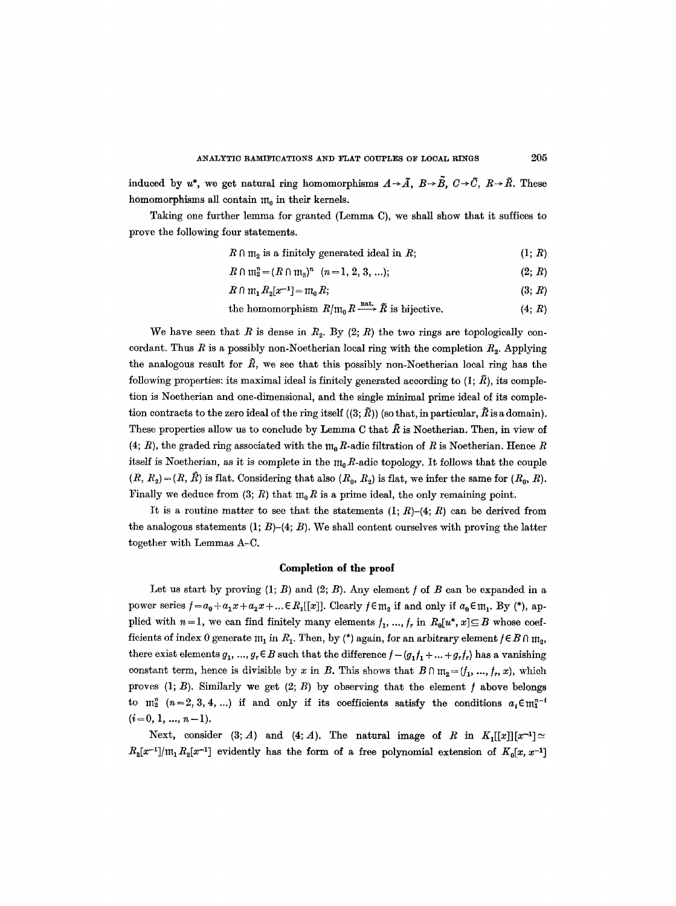induced by  $u^*$ , we get natural ring homomorphisms  $A \rightarrow \tilde{A}$ ,  $B \rightarrow \tilde{B}$ ,  $C \rightarrow \tilde{C}$ ,  $R \rightarrow \tilde{R}$ . These homomorphisms all contain  $\mathfrak{m}_0$  in their kernels.

Taking one further lemma for granted (Lemma C), we shall show that it suffices to prove the following four statements.

$$
R \cap m_2 \text{ is a finitely generated ideal in } R;
$$
 (1; R)

$$
R \cap \mathfrak{m}_2^n = (R \cap \mathfrak{m}_2)^n \quad (n = 1, 2, 3, \ldots); \tag{2; R}
$$

$$
R \cap m_1 R_2[x^{-1}] = m_0 R; \tag{3; R}
$$

the homomorphism 
$$
R/\mathfrak{m}_0 R \xrightarrow{\text{nat.}} \tilde{R}
$$
 is bijective. (4; R)

We have seen that  $R$  is dense in  $R_2$ . By  $(2; R)$  the two rings are topologically concordant. Thus R is a possibly non-Noetherian local ring with the completion  $R_2$ . Applying the analogous result for  $\tilde{R}$ , we see that this possibly non-Noetherian local ring has the following properties: its maximal ideal is finitely generated according to  $(1; \tilde{R})$ , its completion is Noetherian and one-dimensional, and the single minimal prime ideal of its completion contracts to the zero ideal of the ring itself  $((3;\tilde{R}))$  (so that, in particular,  $\tilde{R}$  is a domain). These properties allow us to conclude by Lemma C that  $\tilde{R}$  is Noetherian. Then, in view of (4; R), the graded ring associated with the  $m_0R$ -adic filtration of R is Noetherian. Hence R itself is Noetherian, as it is complete in the  $m_0R$ -adic topology. It follows that the couple  $(R, R_2) = (R, \hat{R})$  is flat. Considering that also  $(R_0, R_2)$  is flat, we infer the same for  $(R_0, R)$ . Finally we deduce from (3; R) that  $m_0 R$  is a prime ideal, the only remaining point.

It is a routine matter to see that the statements  $(I; R)$ - $(4; R)$  can be derived from the analogous statements  $(1; B)$ – $(4; B)$ . We shall content ourselves with proving the latter together with Lemmas A-C.

# **Completion of the proof**

Let us start by proving  $(1; B)$  and  $(2; B)$ . Any element f of B can be expanded in a power series  $f=a_0+a_1x+a_2x+... \in R_1[[x]]$ . Clearly  $f \in \mathfrak{m}_2$  if and only if  $a_0 \in \mathfrak{m}_1$ . By (\*), applied with  $n=1$ , we can find finitely many elements  $f_1, ..., f_r$  in  $R_0[u^*, x] \subseteq B$  whose coefficients of index 0 generate  $m_1$  in  $R_1$ . Then, by (\*) again, for an arbitrary element  $f \in B \cap m_2$ , there exist elements  $g_1, ..., g_r \in B$  such that the difference  $f - (g_1 f_1 + ... + g_r f_r)$  has a vanishing constant term, hence is divisible by x in B. This shows that  $B \cap m_2 = (f_1, ..., f_n, x)$ , which proves  $(1; B)$ . Similarly we get  $(2; B)$  by observing that the element f above belongs to  $m_2^n$   $(n=2,3,4,...)$  if and only if its coefficients satisfy the conditions  $a,\in m_1^{n-1}$  $(i=0, 1, ..., n-1).$ 

Next, consider (3; A) and (4; A). The natural image of R in  $K_1[[x]][x^{-1}] \simeq$  $R_2[x^{-1}]/m_1R_2[x^{-1}]$  evidently has the form of a free polynomial extension of  $K_0[x, x^{-1}]$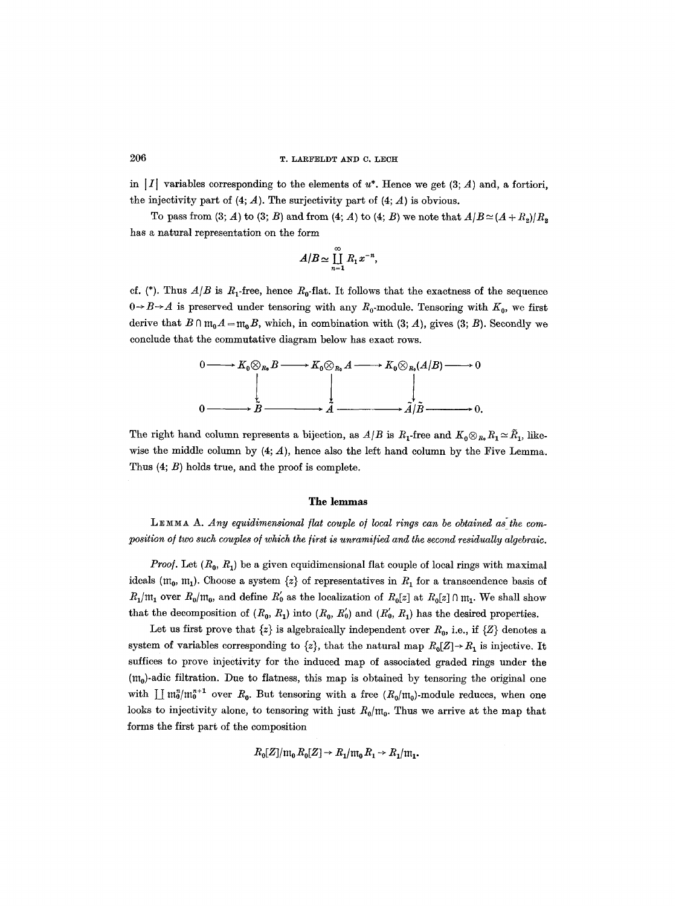# 206 T. LARFELDT AND C. LECH

in |I| variables corresponding to the elements of  $u^*$ . Hence we get (3; A) and, a fortiori, the injectivity part of  $(4; A)$ . The surjectivity part of  $(4; A)$  is obvious.

To pass from (3; A) to (3; B) and from (4; A) to (4; B) we note that  $A/B \simeq (A + R_p)/R_p$ has a natural representation on the form

$$
A/B \simeq \prod_{n=1}^{\infty} R_1 x^{-n},
$$

ef. (\*). Thus  $A/B$  is  $R_1$ -free, hence  $R_0$ -flat. It follows that the exactness of the sequence  $0 \rightarrow B \rightarrow A$  is preserved under tensoring with any  $R_0$ -module. Tensoring with  $K_0$ , we first derive that  $B \cap m_0 A = m_0 B$ , which, in combination with (3; *A*), gives (3; *B*). Secondly we conclude that the commutative diagram below has exact rows.

$$
0 \longrightarrow K_0 \otimes_{R_0} B \longrightarrow K_0 \otimes_{R_0} A \longrightarrow K_0 \otimes_{R_0} (A/B) \longrightarrow 0
$$
  
0 \longrightarrow B \longrightarrow A \longrightarrow A/B \longrightarrow 0.

The right hand column represents a bijection, as  $A/B$  is  $R_1$ -free and  $K_0 \otimes_{R_0} R_1 \simeq \tilde{R}_1$ , likewise the middle column by  $(4; A)$ , hence also the left hand column by the Five Lemma. Thus (4; B) holds true, and the proof is complete.

## **The lemmas**

LEMMA A. Any equidimensional flat couple of local rings can be obtained as the composition of two such couples of which the first is unramified and the second residually algebraic.

*Proof.* Let  $(R_0, R_1)$  be a given equidimensional flat couple of local rings with maximal ideals ( $m_0$ ,  $m_1$ ). Choose a system  $\{z\}$  of representatives in  $R_1$  for a transcendence basis of  $R_1/m_1$  over  $R_0/m_0$ , and define  $R_0$  as the localization of  $R_0[z]$  at  $R_0[z] \cap m_1$ . We shall show that the decomposition of  $(R_0, R_1)$  into  $(R_0, R_0')$  and  $(R_0, R_1)$  has the desired properties.

Let us first prove that  $\{z\}$  is algebraically independent over  $R_0$ , i.e., if  $\{Z\}$  denotes a system of variables corresponding to  $\{z\}$ , that the natural map  $R_0[Z] \rightarrow R_1$  is injective. It suffices to prove injectivity for the induced map of associated graded rings under the  $(m_0)$ -adic filtration. Due to flatness, this map is obtained by tensoring the original one with  $\prod m_0^n/m_0^{n+1}$  over  $R_0$ . But tensoring with a free  $(R_0/m_0)$ -module reduces, when one looks to injectivity alone, to tensoring with just  $R_0/m_0$ . Thus we arrive at the map that forms the first part of the composition

$$
R_0[Z]/m_0 R_0[Z] \to R_1/m_0 R_1 \to R_1/m_1.
$$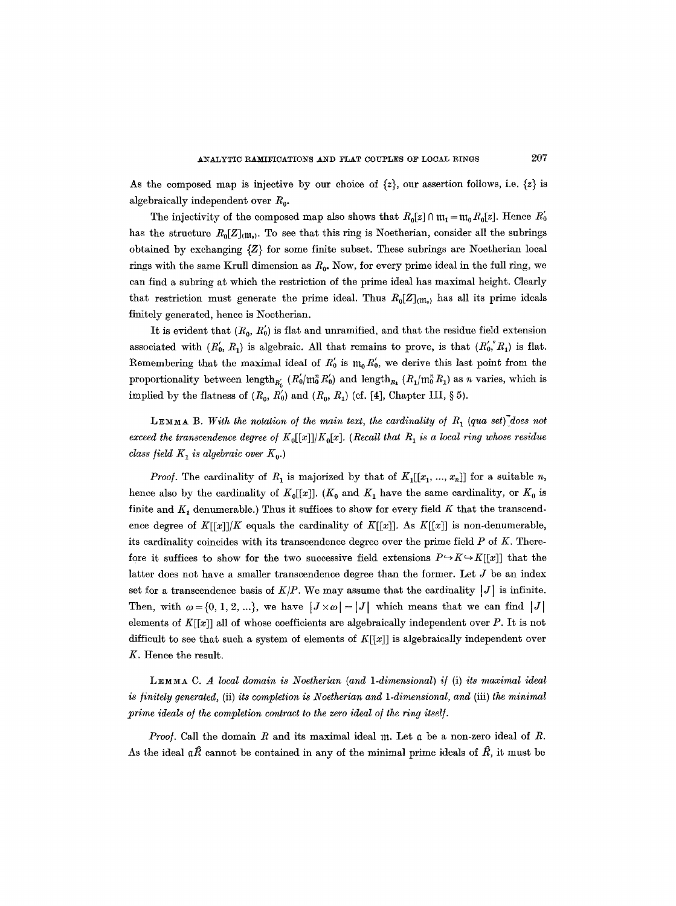As the composed map is injective by our choice of  $\{z\}$ , our assertion follows, i.e.  $\{z\}$  is algebraically independent over  $R_0$ .

The injectivity of the composed map also shows that  $R_0[z] \cap m_1 = m_0 R_0[z]$ . Hence  $R_0$ has the structure  $R_0[Z]_{(m_0)}$ . To see that this ring is Noetherian, consider all the subrings obtained by exchanging  $\{Z\}$  for some finite subset. These subrings are Noetherian local rings with the same Krull dimension as  $R_0$ . Now, for every prime ideal in the full ring, we can find a subring at which the restriction of the prime ideal has maximal height. Clearly that restriction must generate the prime ideal. Thus  $R_0[Z]_{(m_0)}$  has all its prime ideals finitely generated, hence is Noetherian.

It is evident that  $(R_0, R_0)$  is flat and unramified, and that the residue field extension associated with  $(R_0, R_1)$  is algebraic. All that remains to prove, is that  $(R_0, R_1)$  is flat. Remembering that the maximal ideal of  $R'_0$  is  $m_0R'_0$ , we derive this last point from the proportionality between length<sub>R<sub>0</sub></sub>  $(R'_0/m_0^n R'_0)$  and length<sub>R<sub>1</sub></sub>  $(R_1/m_0^n R_1)$  as n varies, which is implied by the flatness of  $(R_0, R_0')$  and  $(R_0, R_1)$  (cf. [4], Chapter III, § 5).

LEMMA B. *With the notation of the main text, the cardinality of R<sub>1</sub> (qua set)<sup>7</sup>does not exceed the transcendence degree of*  $K_0[[x]]/K_0[x]$ . (Recall that  $R_1$  is a local ring whose residue *class field*  $K_1$  *is algebraic over*  $K_0$ .)

*Proof.* The cardinality of  $R_1$  is majorized by that of  $K_1[[x_1, ..., x_n]]$  for a suitable n, hence also by the cardinality of  $K_0[[x]]$ . ( $K_0$  and  $K_1$  have the same cardinality, or  $K_0$  is finite and  $K_1$  denumerable.) Thus it suffices to show for every field K that the transcendence degree of  $K[[x]]/K$  equals the cardinality of  $K[[x]]$ . As  $K[[x]]$  is non-denumerable, its cardinality coincides with its transcendence degree over the prime field  $P$  of  $K$ . Therefore it suffices to show for the two successive field extensions  $P \rightarrow K \rightarrow K[r[x]]$  that the latter does not have a smaller transcendence degree than the former. Let  $J$  be an index set for a transcendence basis of  $K/P$ . We may assume that the cardinality  $|J|$  is infinite. Then, with  $\omega = \{0, 1, 2, ...\}$ , we have  $|J \times \omega| = |J|$  which means that we can find  $|J|$ elements of  $K[[x]]$  all of whose coefficients are algebraically independent over P. It is not difficult to see that such a system of elements of  $K[[x]]$  is algebraically independent over K. Hence the result.

*L~M~A C. A local domain is Noetherian (and 1-dimensional) i/* (i) *its maximal ideal is finitely generated,* (if) *its completion is Noetherian and 1-dimensional, and* (iii) *the minimal prime ideals of the completion contract to the zero ideal of the ring itself.* 

*Proof.* Call the domain R and its maximal ideal  $m$ . Let  $\alpha$  be a non-zero ideal of R. As the ideal  $\mathfrak{g}\hat{R}$  cannot be contained in any of the minimal prime ideals of  $\hat{R}$ , it must be